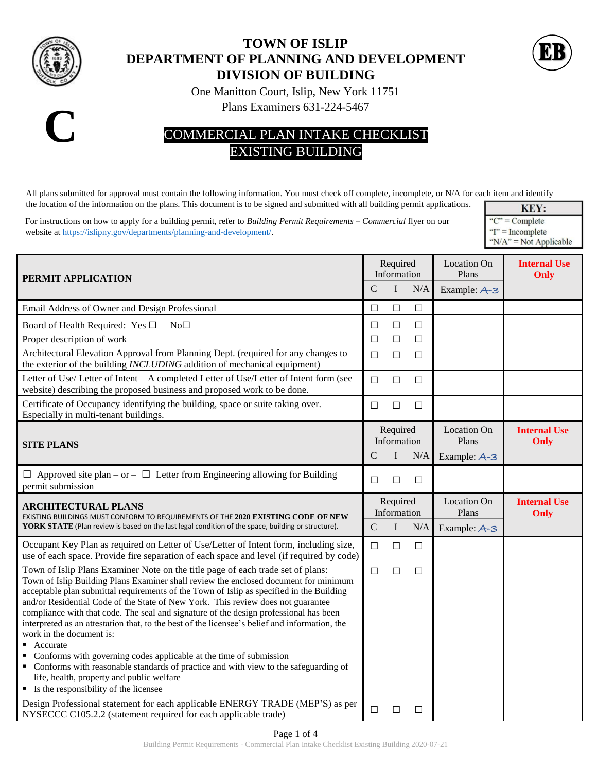

## **TOWN OF ISLIP DEPARTMENT OF PLANNING AND DEVELOPMENT DIVISION OF BUILDING**



One Manitton Court, Islip, New York 11751

Plans Examiners 631-224-5467



## COMMERCIAL PLAN INTAKE CHECKLIST EXISTING BUILDING

All plans submitted for approval must contain the following information. You must check off complete, incomplete, or N/A for each item and identify the location of the information on the plans. This document is to be signed and submitted with all building permit applications.

For instructions on how to apply for a building permit, refer to *Building Permit Requirements – Commercial* flyer on our website a[t https://islipny.gov/departments/planning-and-development/.](https://islipny.gov/departments/planning-and-development/)

KEY: " $C$ " = Complete  $T' = Incomplete$ " $N/A$ " = Not Applicable

| PERMIT APPLICATION<br>C                                                                                                                                                                                                                                                                                                                                                                                                                                                                                                                                                                                                                                                                                                                                                                                                                          |               | Required<br>Information |        | Location On<br>Plans | <b>Internal Use</b><br>Only |
|--------------------------------------------------------------------------------------------------------------------------------------------------------------------------------------------------------------------------------------------------------------------------------------------------------------------------------------------------------------------------------------------------------------------------------------------------------------------------------------------------------------------------------------------------------------------------------------------------------------------------------------------------------------------------------------------------------------------------------------------------------------------------------------------------------------------------------------------------|---------------|-------------------------|--------|----------------------|-----------------------------|
|                                                                                                                                                                                                                                                                                                                                                                                                                                                                                                                                                                                                                                                                                                                                                                                                                                                  |               | I                       | N/A    | Example: A-3         |                             |
| Email Address of Owner and Design Professional                                                                                                                                                                                                                                                                                                                                                                                                                                                                                                                                                                                                                                                                                                                                                                                                   | П             | $\Box$                  | $\Box$ |                      |                             |
| Board of Health Required: Yes □<br>No <sub>1</sub>                                                                                                                                                                                                                                                                                                                                                                                                                                                                                                                                                                                                                                                                                                                                                                                               | $\Box$        | $\Box$                  | $\Box$ |                      |                             |
| Proper description of work                                                                                                                                                                                                                                                                                                                                                                                                                                                                                                                                                                                                                                                                                                                                                                                                                       | $\Box$        | $\Box$                  | $\Box$ |                      |                             |
| Architectural Elevation Approval from Planning Dept. (required for any changes to<br>the exterior of the building INCLUDING addition of mechanical equipment)                                                                                                                                                                                                                                                                                                                                                                                                                                                                                                                                                                                                                                                                                    | $\Box$        | $\Box$                  | $\Box$ |                      |                             |
| Letter of Use/Letter of Intent - A completed Letter of Use/Letter of Intent form (see<br>website) describing the proposed business and proposed work to be done.                                                                                                                                                                                                                                                                                                                                                                                                                                                                                                                                                                                                                                                                                 | $\Box$        | $\Box$                  | □      |                      |                             |
| Certificate of Occupancy identifying the building, space or suite taking over.<br>Especially in multi-tenant buildings.                                                                                                                                                                                                                                                                                                                                                                                                                                                                                                                                                                                                                                                                                                                          | $\Box$        | $\Box$                  | $\Box$ |                      |                             |
| <b>SITE PLANS</b>                                                                                                                                                                                                                                                                                                                                                                                                                                                                                                                                                                                                                                                                                                                                                                                                                                |               | Required<br>Information |        | Location On<br>Plans | <b>Internal Use</b><br>Only |
|                                                                                                                                                                                                                                                                                                                                                                                                                                                                                                                                                                                                                                                                                                                                                                                                                                                  | $\mathcal{C}$ |                         | N/A    | Example: A-3         |                             |
| $\Box$ Approved site plan – or – $\Box$ Letter from Engineering allowing for Building<br>permit submission                                                                                                                                                                                                                                                                                                                                                                                                                                                                                                                                                                                                                                                                                                                                       | $\Box$        | □                       | $\Box$ |                      |                             |
| <b>ARCHITECTURAL PLANS</b><br>EXISTING BUILDINGS MUST CONFORM TO REQUIREMENTS OF THE 2020 EXISTING CODE OF NEW                                                                                                                                                                                                                                                                                                                                                                                                                                                                                                                                                                                                                                                                                                                                   |               | Required<br>Information |        | Location On<br>Plans | <b>Internal Use</b><br>Only |
| YORK STATE (Plan review is based on the last legal condition of the space, building or structure).                                                                                                                                                                                                                                                                                                                                                                                                                                                                                                                                                                                                                                                                                                                                               | $\mathcal{C}$ | I                       | N/A    | Example: A-3         |                             |
| Occupant Key Plan as required on Letter of Use/Letter of Intent form, including size,<br>use of each space. Provide fire separation of each space and level (if required by code)                                                                                                                                                                                                                                                                                                                                                                                                                                                                                                                                                                                                                                                                | $\Box$        | $\Box$                  | $\Box$ |                      |                             |
| Town of Islip Plans Examiner Note on the title page of each trade set of plans:<br>Town of Islip Building Plans Examiner shall review the enclosed document for minimum<br>acceptable plan submittal requirements of the Town of Islip as specified in the Building<br>and/or Residential Code of the State of New York. This review does not guarantee<br>compliance with that code. The seal and signature of the design professional has been<br>interpreted as an attestation that, to the best of the licensee's belief and information, the<br>work in the document is:<br>Accurate<br>Conforms with governing codes applicable at the time of submission<br>• Conforms with reasonable standards of practice and with view to the safeguarding of<br>life, health, property and public welfare<br>• Is the responsibility of the licensee | $\Box$        | $\Box$                  | $\Box$ |                      |                             |
| Design Professional statement for each applicable ENERGY TRADE (MEP'S) as per<br>NYSECCC C105.2.2 (statement required for each applicable trade)                                                                                                                                                                                                                                                                                                                                                                                                                                                                                                                                                                                                                                                                                                 | $\Box$        | □                       | □      |                      |                             |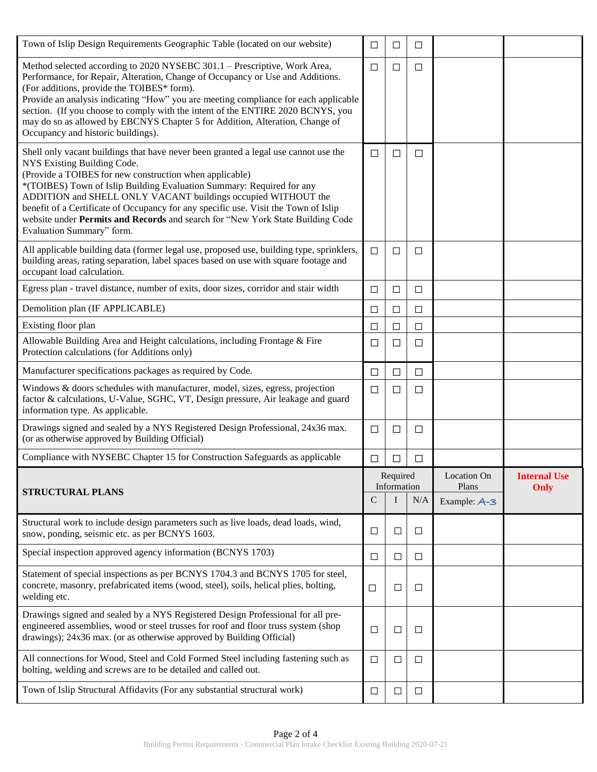| Town of Islip Design Requirements Geographic Table (located on our website)                                                                                                                                                                                                                                                                                                                                                                                                                                                   | $\Box$                  | □      | $\Box$ |                      |                     |
|-------------------------------------------------------------------------------------------------------------------------------------------------------------------------------------------------------------------------------------------------------------------------------------------------------------------------------------------------------------------------------------------------------------------------------------------------------------------------------------------------------------------------------|-------------------------|--------|--------|----------------------|---------------------|
| Method selected according to 2020 NYSEBC 301.1 - Prescriptive, Work Area,<br>Performance, for Repair, Alteration, Change of Occupancy or Use and Additions.<br>(For additions, provide the TOIBES* form).<br>Provide an analysis indicating "How" you are meeting compliance for each applicable                                                                                                                                                                                                                              | □                       | $\Box$ | □      |                      |                     |
| section. (If you choose to comply with the intent of the ENTIRE 2020 BCNYS, you<br>may do so as allowed by EBCNYS Chapter 5 for Addition, Alteration, Change of<br>Occupancy and historic buildings).                                                                                                                                                                                                                                                                                                                         |                         |        |        |                      |                     |
| Shell only vacant buildings that have never been granted a legal use cannot use the<br>NYS Existing Building Code.<br>(Provide a TOIBES for new construction when applicable)<br>*(TOIBES) Town of Islip Building Evaluation Summary: Required for any<br>ADDITION and SHELL ONLY VACANT buildings occupied WITHOUT the<br>benefit of a Certificate of Occupancy for any specific use. Visit the Town of Islip<br>website under Permits and Records and search for "New York State Building Code<br>Evaluation Summary" form. | □                       | □      | □      |                      |                     |
| All applicable building data (former legal use, proposed use, building type, sprinklers,<br>building areas, rating separation, label spaces based on use with square footage and<br>occupant load calculation.                                                                                                                                                                                                                                                                                                                | $\Box$                  | $\Box$ | $\Box$ |                      |                     |
| Egress plan - travel distance, number of exits, door sizes, corridor and stair width                                                                                                                                                                                                                                                                                                                                                                                                                                          | $\Box$                  | $\Box$ | □      |                      |                     |
| Demolition plan (IF APPLICABLE)                                                                                                                                                                                                                                                                                                                                                                                                                                                                                               | $\Box$                  | $\Box$ | $\Box$ |                      |                     |
| Existing floor plan                                                                                                                                                                                                                                                                                                                                                                                                                                                                                                           | $\Box$                  | $\Box$ | $\Box$ |                      |                     |
| Allowable Building Area and Height calculations, including Frontage & Fire<br>Protection calculations (for Additions only)                                                                                                                                                                                                                                                                                                                                                                                                    | ⊔                       | ⊔      | □      |                      |                     |
| Manufacturer specifications packages as required by Code.                                                                                                                                                                                                                                                                                                                                                                                                                                                                     | $\Box$                  | $\Box$ | $\Box$ |                      |                     |
| Windows & doors schedules with manufacturer, model, sizes, egress, projection<br>factor & calculations, U-Value, SGHC, VT, Design pressure, Air leakage and guard<br>information type. As applicable.                                                                                                                                                                                                                                                                                                                         | □                       | $\Box$ | □      |                      |                     |
| Drawings signed and sealed by a NYS Registered Design Professional, 24x36 max.<br>(or as otherwise approved by Building Official)                                                                                                                                                                                                                                                                                                                                                                                             | $\Box$                  | $\Box$ | $\Box$ |                      |                     |
| Compliance with NYSEBC Chapter 15 for Construction Safeguards as applicable                                                                                                                                                                                                                                                                                                                                                                                                                                                   | $\Box$                  | □      | □      |                      |                     |
|                                                                                                                                                                                                                                                                                                                                                                                                                                                                                                                               | Required<br>Information |        |        | Location On<br>Plans | <b>Internal Use</b> |
| <b>STRUCTURAL PLANS</b>                                                                                                                                                                                                                                                                                                                                                                                                                                                                                                       | C                       | I      | N/A    | Example: A-3         | Only                |
| Structural work to include design parameters such as live loads, dead loads, wind,<br>snow, ponding, seismic etc. as per BCNYS 1603.                                                                                                                                                                                                                                                                                                                                                                                          | $\Box$                  | $\Box$ | □      |                      |                     |
| Special inspection approved agency information (BCNYS 1703)                                                                                                                                                                                                                                                                                                                                                                                                                                                                   | $\Box$                  | □      | $\Box$ |                      |                     |
| Statement of special inspections as per BCNYS 1704.3 and BCNYS 1705 for steel,<br>concrete, masonry, prefabricated items (wood, steel), soils, helical plies, bolting,<br>welding etc.                                                                                                                                                                                                                                                                                                                                        | □                       | □      | □      |                      |                     |
| Drawings signed and sealed by a NYS Registered Design Professional for all pre-<br>engineered assemblies, wood or steel trusses for roof and floor truss system (shop<br>drawings); 24x36 max. (or as otherwise approved by Building Official)                                                                                                                                                                                                                                                                                | $\Box$                  | □      | $\Box$ |                      |                     |
| All connections for Wood, Steel and Cold Formed Steel including fastening such as<br>bolting, welding and screws are to be detailed and called out.                                                                                                                                                                                                                                                                                                                                                                           | $\Box$                  | $\Box$ | $\Box$ |                      |                     |
| Town of Islip Structural Affidavits (For any substantial structural work)                                                                                                                                                                                                                                                                                                                                                                                                                                                     | $\Box$                  | □      | $\Box$ |                      |                     |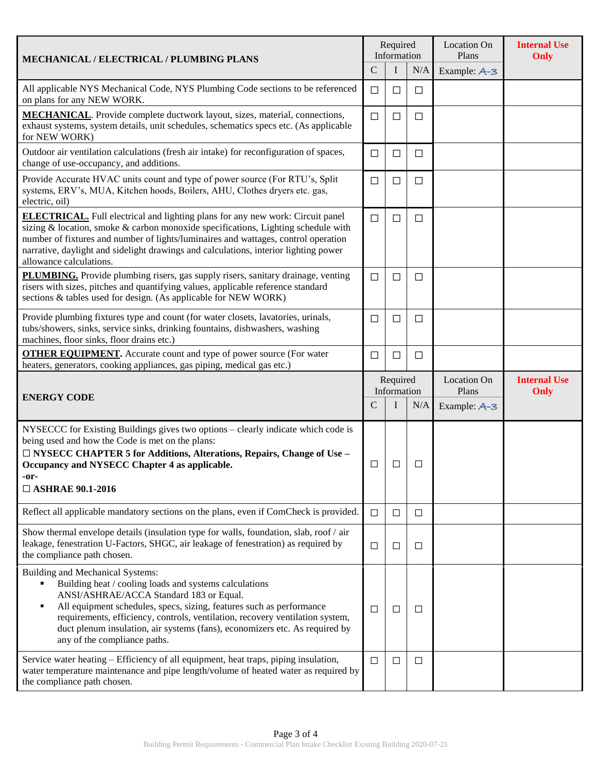| <b>MECHANICAL / ELECTRICAL / PLUMBING PLANS</b>                                                                                                                                                                                                                                                                                                                                                                    | Required<br>Information |          |        | <b>Location On</b><br>Plans | <b>Internal Use</b><br>Only |
|--------------------------------------------------------------------------------------------------------------------------------------------------------------------------------------------------------------------------------------------------------------------------------------------------------------------------------------------------------------------------------------------------------------------|-------------------------|----------|--------|-----------------------------|-----------------------------|
|                                                                                                                                                                                                                                                                                                                                                                                                                    | $\mathsf{C}$            | $\bf{I}$ | N/A    | Example: A-3                |                             |
| All applicable NYS Mechanical Code, NYS Plumbing Code sections to be referenced<br>on plans for any NEW WORK.                                                                                                                                                                                                                                                                                                      | □                       | □        | $\Box$ |                             |                             |
| <b>MECHANICAL</b> . Provide complete ductwork layout, sizes, material, connections,<br>exhaust systems, system details, unit schedules, schematics specs etc. (As applicable<br>for NEW WORK)                                                                                                                                                                                                                      | $\Box$                  | □        | $\Box$ |                             |                             |
| Outdoor air ventilation calculations (fresh air intake) for reconfiguration of spaces,<br>change of use-occupancy, and additions.                                                                                                                                                                                                                                                                                  | □                       | $\Box$   | $\Box$ |                             |                             |
| Provide Accurate HVAC units count and type of power source (For RTU's, Split<br>systems, ERV's, MUA, Kitchen hoods, Boilers, AHU, Clothes dryers etc. gas,<br>electric, oil)                                                                                                                                                                                                                                       | $\Box$                  | □        | $\Box$ |                             |                             |
| <b>ELECTRICAL.</b> Full electrical and lighting plans for any new work: Circuit panel<br>sizing & location, smoke & carbon monoxide specifications, Lighting schedule with<br>number of fixtures and number of lights/luminaires and wattages, control operation<br>narrative, daylight and sidelight drawings and calculations, interior lighting power<br>allowance calculations.                                | $\Box$                  | □        | $\Box$ |                             |                             |
| PLUMBING. Provide plumbing risers, gas supply risers, sanitary drainage, venting<br>risers with sizes, pitches and quantifying values, applicable reference standard<br>sections & tables used for design. (As applicable for NEW WORK)                                                                                                                                                                            | $\Box$                  | $\Box$   | $\Box$ |                             |                             |
| Provide plumbing fixtures type and count (for water closets, lavatories, urinals,<br>tubs/showers, sinks, service sinks, drinking fountains, dishwashers, washing<br>machines, floor sinks, floor drains etc.)                                                                                                                                                                                                     | ⊔                       | ப        | $\Box$ |                             |                             |
| <b>OTHER EQUIPMENT.</b> Accurate count and type of power source (For water<br>heaters, generators, cooking appliances, gas piping, medical gas etc.)                                                                                                                                                                                                                                                               | $\Box$                  | $\Box$   | $\Box$ |                             |                             |
|                                                                                                                                                                                                                                                                                                                                                                                                                    | Required<br>Information |          |        | <b>Location On</b><br>Plans | <b>Internal Use</b><br>Only |
| <b>ENERGY CODE</b>                                                                                                                                                                                                                                                                                                                                                                                                 |                         | I        | N/A    | Example: A-3                |                             |
| NYSECCC for Existing Buildings gives two options - clearly indicate which code is<br>being used and how the Code is met on the plans:<br>□ NYSECC CHAPTER 5 for Additions, Alterations, Repairs, Change of Use –<br>Occupancy and NYSECC Chapter 4 as applicable.<br>-or-<br>$\Box$ ASHRAE 90.1-2016                                                                                                               | □                       | ⊔        | ⊔      |                             |                             |
| Reflect all applicable mandatory sections on the plans, even if ComCheck is provided.                                                                                                                                                                                                                                                                                                                              | $\Box$                  | $\Box$   | $\Box$ |                             |                             |
| Show thermal envelope details (insulation type for walls, foundation, slab, roof / air<br>leakage, fenestration U-Factors, SHGC, air leakage of fenestration) as required by<br>the compliance path chosen.                                                                                                                                                                                                        | □                       | $\Box$   | □      |                             |                             |
| Building and Mechanical Systems:<br>Building heat / cooling loads and systems calculations<br>ANSI/ASHRAE/ACCA Standard 183 or Equal.<br>All equipment schedules, specs, sizing, features such as performance<br>٠<br>requirements, efficiency, controls, ventilation, recovery ventilation system,<br>duct plenum insulation, air systems (fans), economizers etc. As required by<br>any of the compliance paths. | $\Box$                  | $\Box$   | $\Box$ |                             |                             |
| Service water heating - Efficiency of all equipment, heat traps, piping insulation,                                                                                                                                                                                                                                                                                                                                |                         | □        | $\Box$ |                             |                             |